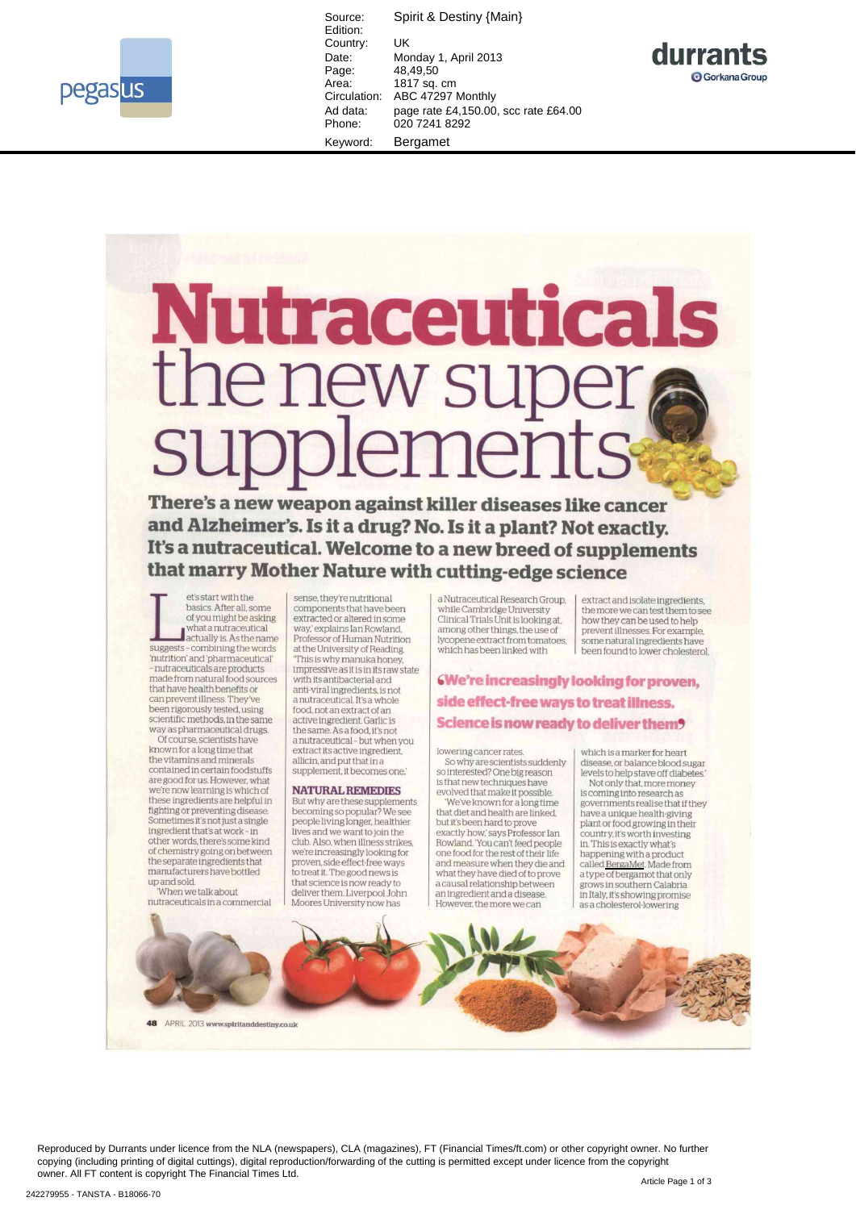

Spirit & Destiny {Main} Source: Edition: Country: UK Monday 1, April 2013 Date:  $48.49.50$ Page: Area: 1817 sq. cm Circulation: ABC 47297 Monthly Ad data: page rate £4,150.00, scc rate £64.00 Phone: 020 7241 8292 Keyword: Bergamet



## **Nutraceuticals** the new supe: supplements

There's a new weapon against killer diseases like cancer and Alzheimer's. Is it a drug? No. Is it a plant? Not exactly. It's a nutraceutical. Welcome to a new breed of supplements that marry Mother Nature with cutting-edge science

et's start with the basics. After all, some<br>of you might be asking what a nutraceutical actually is. As the name suggests - combining the words 'nutrition' and 'pharmaceutical' - nutraceuticals are products<br>made from natural food sources that have health benefits or can prevent illness. They've been rigorously tested, using scientific methods in the same way as pharmaceutical drugs.

Of course, scientists have known for a long time that the vitamins and minerals contained in certain foodstuffs are good for us. However, what we're now learning is which of these ingredients are helpful in<br>fighting or preventing disease. Sometimes it's not just a single ingredient that's at work - in other words, there's some kind<br>of chemistry going on between the separate ingredients that<br>manufacturers have bottled up and sold.<br>When we talk about

nutraceuticals in a commercial

APRIL 2013 www.spiritanddestiny.co.uk

sense, they're nutritional components that have been extracted or altered in some way,' explains Ian Rowland, Professor of Human Nutrition at the University of Reading. This is why manuka honey impressive as it is in its raw state with its antibacterial and<br>anti-viral ingredients, is not a nutraceutical. It's a whole food, not an extract of an active ingredient. Garlic is<br>the same. As a food, it's not a nutraceutical - but when you<br>extract its active ingredient, allicin, and put that in a<br>supplement, it becomes one.

## **NATURAL REMEDIES**

But why are these supplements<br>becoming so popular? We see people living longer, healthier<br>lives and we want to join the club. Also, when illness strikes, we're increasingly looking for proven, side effect-free ways<br>to treat it. The good news is that science is now ready to deliver them Liverpool John Moores University now has

a Nutraceutical Research Group, while Cambridge University Clinical Trials Unit is looking at, among other things, the use of lycopene extract from tomatoes, which has been linked with

extract and isolate ingredients,<br>the more we can test them to see how they can be used to help prevent illnesses. For example some natural ingredients have been found to lower cholesterol.

We're increasingly looking for proven, side effect-free ways to treat illness. Science is now ready to deliver them?

lowering cancer rates So why are scientists suddenly<br>so interested? One big reason<br>is that new techniques have evolved that make it possible

'We've known for a long time that diet and health are linked. but it's been hard to prove exactly how,' says Professor Ian<br>Rowland. 'You can't feed people one food for the rest of their life<br>and measure when they die and what they have died of to prove<br>a causal relationship between an ingredient and a disease.<br>However, the more we can

which is a marker for heart disease, or balance blood sugar levels to help stave off diabetes. Not only that, more money is coming into research as<br>governments realise that if they have a unique health-giving<br>plant or food growing in their country, it's worth investing<br>in. This is exactly what's happening with a product<br>called <u>BergaMet</u>. Made from<br>a type of bergamot that only grows in southern Calabria in Italy, it's showing promise as a cholesterol-lowering

Reproduced by Durrants under licence from the NLA (newspapers), CLA (magazines), FT (Financial Times/ft.com) or other copyright owner. No further copying (including printing of digital cuttings), digital reproduction/forwarding of the cutting is permitted except under licence from the copyright owner. All FT content is copyright The Financial Times Ltd.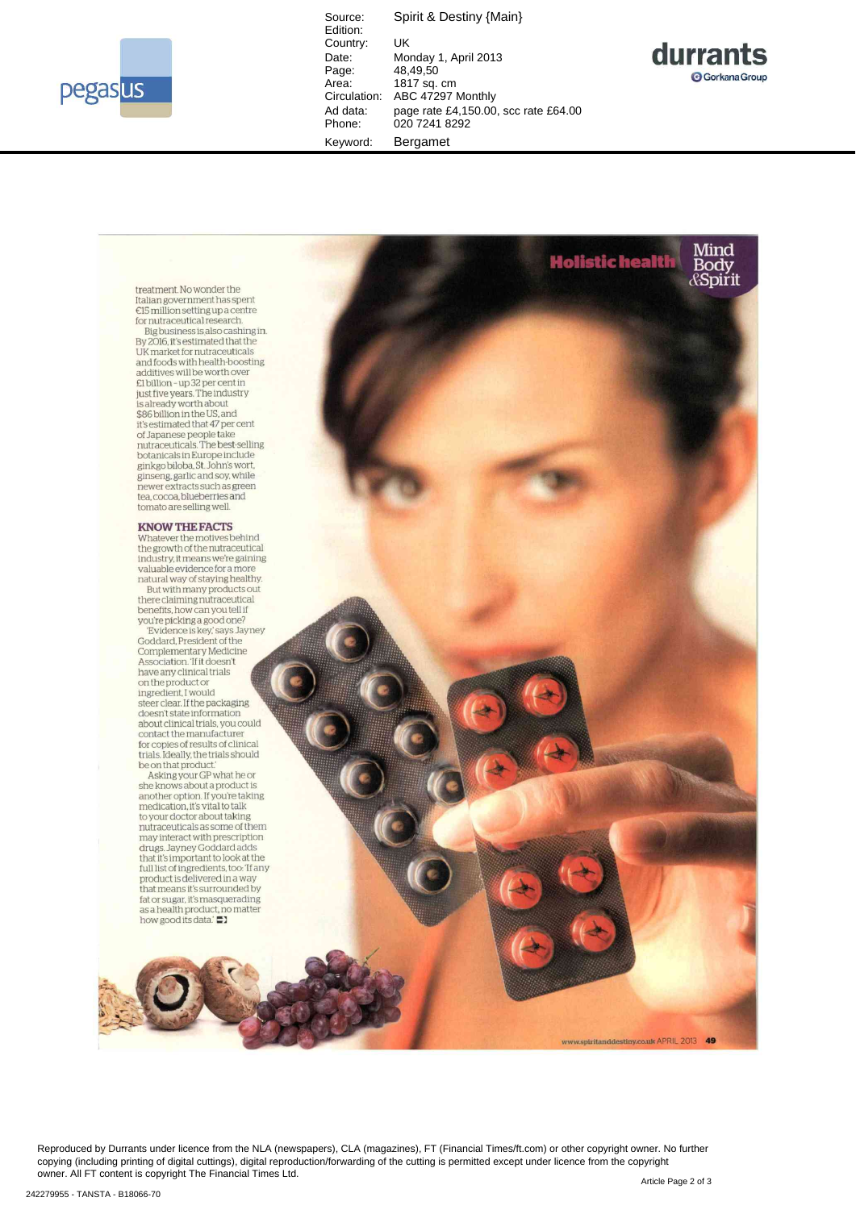

Source: Spirit & Destiny {Main} Edition: Country: UK<br>Date: Mo Date: Monday 1, April 2013<br>Page: 48,49,50 рањ.<br>Page: 48,49,50<br>Area: 1817 sq. Area: 1817 sq. cm<br>Circulation: ABC 47297 I ABC 47297 Monthly Ad data: page rate £4,150.00, scc rate £64.00 Phone: 020 7241 8292 Keyword: Bergamet





Reproduced by Durrants under licence from the NLA (newspapers), CLA (magazines), FT (Financial Times/ft.com) or other copyright owner. No further copying (including printing of digital cuttings), digital reproduction/forwarding of the cutting is permitted except under licence from the copyright owner. All FT content is copyright The Financial Times Ltd.